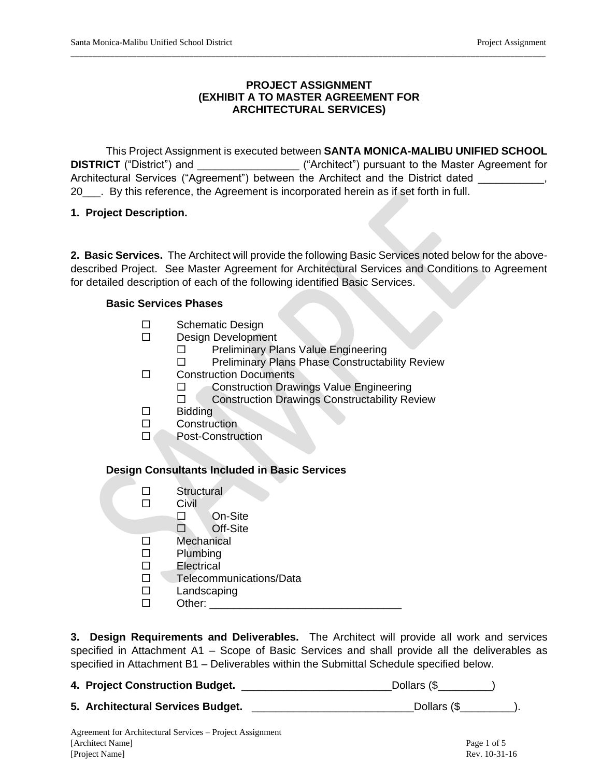## **PROJECT ASSIGNMENT (EXHIBIT A TO MASTER AGREEMENT FOR ARCHITECTURAL SERVICES)**

\_\_\_\_\_\_\_\_\_\_\_\_\_\_\_\_\_\_\_\_\_\_\_\_\_\_\_\_\_\_\_\_\_\_\_\_\_\_\_\_\_\_\_\_\_\_\_\_\_\_\_\_\_\_\_\_\_\_\_\_\_\_\_\_\_\_\_\_\_\_\_\_\_\_\_\_\_\_\_\_\_\_\_\_\_\_\_\_\_\_\_\_\_\_\_\_\_\_\_\_\_\_\_\_\_\_\_\_

This Project Assignment is executed between **SANTA MONICA-MALIBU UNIFIED SCHOOL DISTRICT** ("District") and \_\_\_\_\_\_\_\_\_\_\_\_\_\_\_\_\_ ("Architect") pursuant to the Master Agreement for Architectural Services ("Agreement") between the Architect and the District dated  $\qquad \qquad ,$ 20\_\_\_. By this reference, the Agreement is incorporated herein as if set forth in full.

## **1. Project Description.**

**2. Basic Services.** The Architect will provide the following Basic Services noted below for the abovedescribed Project. See Master Agreement for Architectural Services and Conditions to Agreement for detailed description of each of the following identified Basic Services.

## **Basic Services Phases**

- □ Schematic Design
- Design Development
	- □ Preliminary Plans Value Engineering
	- □ Preliminary Plans Phase Constructability Review
- □ Construction Documents
	- □ Construction Drawings Value Engineering
	- □ Construction Drawings Constructability Review
- $\square$  Bidding
- Construction
- D Post-Construction

## **Design Consultants Included in Basic Services**

- □ Structural
- $\square$  Civil
	- On-Site
	- Off-Site
- □ Mechanical
- $\square$  Plumbing
- Electrical
- Telecommunications/Data
- Landscaping
- $\square$  Other:

**3. Design Requirements and Deliverables.** The Architect will provide all work and services specified in Attachment A1 – Scope of Basic Services and shall provide all the deliverables as specified in Attachment B1 – Deliverables within the Submittal Schedule specified below.

**4. Project Construction Budget.** \_\_\_\_\_\_\_\_\_\_\_\_\_\_\_\_\_\_\_\_\_\_\_\_\_Dollars (\$\_\_\_\_\_\_\_\_\_)

**5. Architectural Services Budget.** \_\_\_\_\_\_\_\_\_\_\_\_\_\_\_\_\_\_\_\_\_\_\_\_\_\_\_Dollars (\$\_\_\_\_\_\_\_\_\_).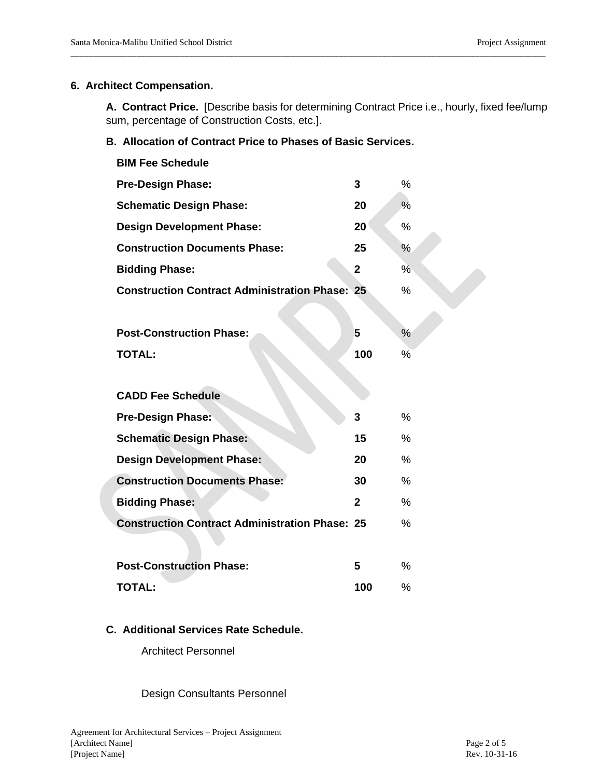#### **6. Architect Compensation.**

**A. Contract Price.** [Describe basis for determining Contract Price i.e., hourly, fixed fee/lump sum, percentage of Construction Costs, etc.].

\_\_\_\_\_\_\_\_\_\_\_\_\_\_\_\_\_\_\_\_\_\_\_\_\_\_\_\_\_\_\_\_\_\_\_\_\_\_\_\_\_\_\_\_\_\_\_\_\_\_\_\_\_\_\_\_\_\_\_\_\_\_\_\_\_\_\_\_\_\_\_\_\_\_\_\_\_\_\_\_\_\_\_\_\_\_\_\_\_\_\_\_\_\_\_\_\_\_\_\_\_\_\_\_\_\_\_\_

### **B. Allocation of Contract Price to Phases of Basic Services.**

| <b>BIM Fee Schedule</b>                               |              |               |
|-------------------------------------------------------|--------------|---------------|
| <b>Pre-Design Phase:</b>                              | 3            | $\%$          |
| <b>Schematic Design Phase:</b>                        | 20           | %             |
| <b>Design Development Phase:</b>                      | 20           | %             |
| <b>Construction Documents Phase:</b>                  | 25           | $\frac{0}{0}$ |
| <b>Bidding Phase:</b>                                 | $\mathbf 2$  | $\%$          |
| <b>Construction Contract Administration Phase: 25</b> |              | %             |
|                                                       |              |               |
| <b>Post-Construction Phase:</b>                       | 5            | $\frac{0}{0}$ |
| <b>TOTAL:</b>                                         | 100          | %             |
|                                                       |              |               |
| <b>CADD Fee Schedule</b>                              |              |               |
|                                                       | 3            | $\%$          |
| <b>Pre-Design Phase:</b>                              |              |               |
| <b>Schematic Design Phase:</b>                        | 15           | $\%$          |
| <b>Design Development Phase:</b>                      | 20           | $\frac{0}{0}$ |
| <b>Construction Documents Phase:</b>                  | 30           | $\%$          |
| <b>Bidding Phase:</b>                                 | $\mathbf{2}$ | $\%$          |
| <b>Construction Contract Administration Phase: 25</b> |              | $\%$          |
|                                                       |              |               |
| <b>Post-Construction Phase:</b>                       | 5            | $\%$          |

## **C. Additional Services Rate Schedule.**

Architect Personnel

Design Consultants Personnel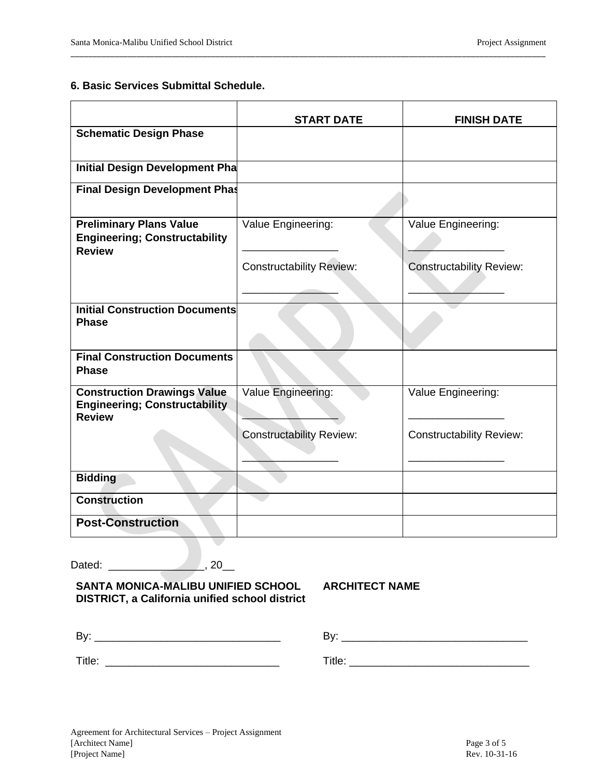#### **6. Basic Services Submittal Schedule.**

|                                                                                             | <b>START DATE</b>               | <b>FINISH DATE</b>              |
|---------------------------------------------------------------------------------------------|---------------------------------|---------------------------------|
| <b>Schematic Design Phase</b>                                                               |                                 |                                 |
| Initial Design Development Pha                                                              |                                 |                                 |
| <b>Final Design Development Phas</b>                                                        |                                 |                                 |
| <b>Preliminary Plans Value</b><br><b>Engineering; Constructability</b><br><b>Review</b>     | Value Engineering:              | Value Engineering:              |
|                                                                                             | <b>Constructability Review:</b> | <b>Constructability Review:</b> |
| <b>Initial Construction Documents</b><br><b>Phase</b>                                       |                                 |                                 |
| <b>Final Construction Documents</b><br><b>Phase</b>                                         |                                 |                                 |
| <b>Construction Drawings Value</b><br><b>Engineering; Constructability</b><br><b>Review</b> | Value Engineering:              | Value Engineering:              |
|                                                                                             | <b>Constructability Review:</b> | <b>Constructability Review:</b> |
| <b>Bidding</b>                                                                              |                                 |                                 |
| <b>Construction</b>                                                                         |                                 |                                 |
| <b>Post-Construction</b>                                                                    |                                 |                                 |

\_\_\_\_\_\_\_\_\_\_\_\_\_\_\_\_\_\_\_\_\_\_\_\_\_\_\_\_\_\_\_\_\_\_\_\_\_\_\_\_\_\_\_\_\_\_\_\_\_\_\_\_\_\_\_\_\_\_\_\_\_\_\_\_\_\_\_\_\_\_\_\_\_\_\_\_\_\_\_\_\_\_\_\_\_\_\_\_\_\_\_\_\_\_\_\_\_\_\_\_\_\_\_\_\_\_\_\_

Dated: \_\_\_\_\_\_\_\_\_\_\_\_\_\_\_\_\_\_\_\_\_\_\_\_\_, 20\_\_\_

## **SANTA MONICA-MALIBU UNIFIED SCHOOL DISTRICT, a California unified school district**

**ARCHITECT NAME**

| Bv.         |        |
|-------------|--------|
| ⊤:∗<br>HUC. | Title. |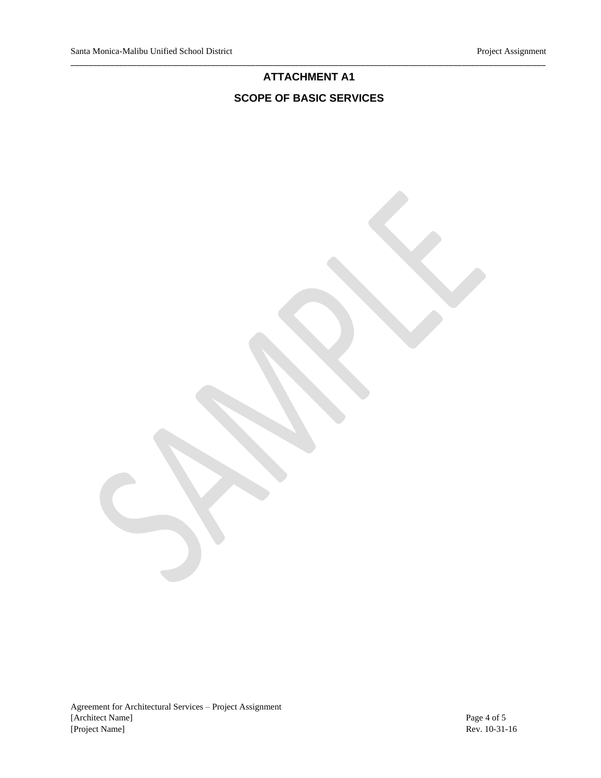## **ATTACHMENT A1 SCOPE OF BASIC SERVICES**

\_\_\_\_\_\_\_\_\_\_\_\_\_\_\_\_\_\_\_\_\_\_\_\_\_\_\_\_\_\_\_\_\_\_\_\_\_\_\_\_\_\_\_\_\_\_\_\_\_\_\_\_\_\_\_\_\_\_\_\_\_\_\_\_\_\_\_\_\_\_\_\_\_\_\_\_\_\_\_\_\_\_\_\_\_\_\_\_\_\_\_\_\_\_\_\_\_\_\_\_\_\_\_\_\_\_\_\_

Agreement for Architectural Services – Project Assignment [Architect Name] Page 4 of 5 [Project Name] Rev. 10-31-16